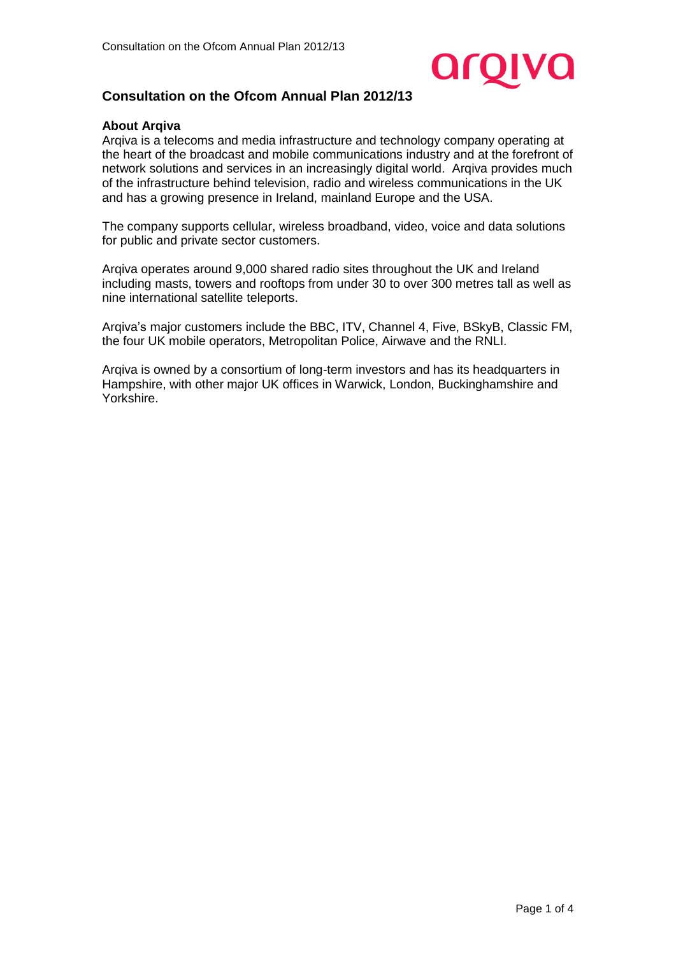

# **Consultation on the Ofcom Annual Plan 2012/13**

#### **About Arqiva**

Arqiva is a telecoms and media infrastructure and technology company operating at the heart of the broadcast and mobile communications industry and at the forefront of network solutions and services in an increasingly digital world. Arqiva provides much of the infrastructure behind television, radio and wireless communications in the UK and has a growing presence in Ireland, mainland Europe and the USA.

The company supports cellular, wireless broadband, video, voice and data solutions for public and private sector customers.

Arqiva operates around 9,000 shared radio sites throughout the UK and Ireland including masts, towers and rooftops from under 30 to over 300 metres tall as well as nine international satellite teleports.

Arqiva's major customers include the BBC, ITV, Channel 4, Five, BSkyB, Classic FM, the four UK mobile operators, Metropolitan Police, Airwave and the RNLI.

Arqiva is owned by a consortium of long-term investors and has its headquarters in Hampshire, with other major UK offices in Warwick, London, Buckinghamshire and Yorkshire.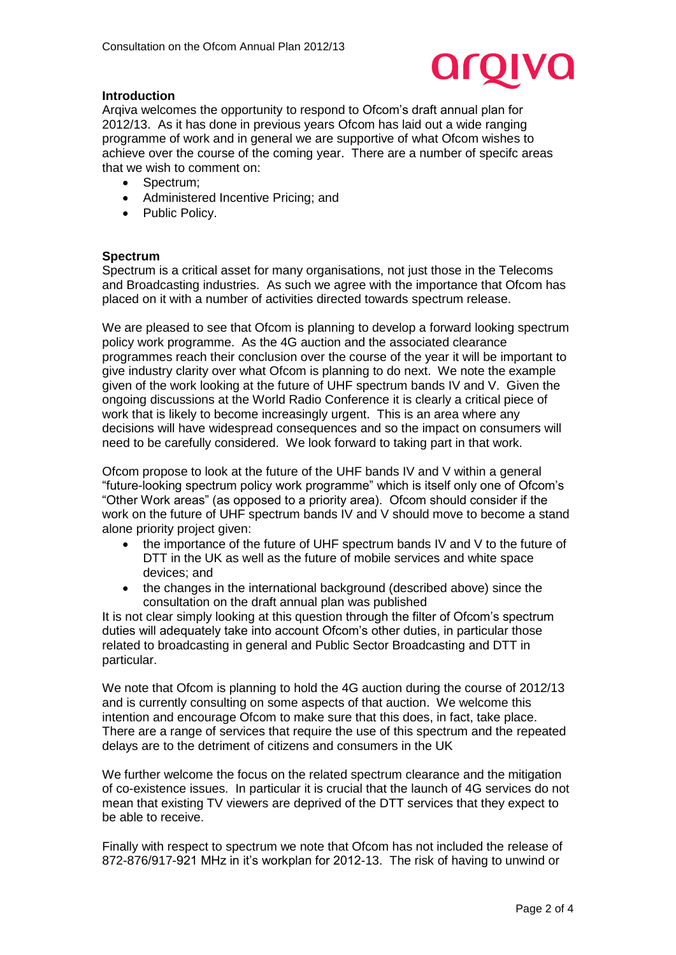

### **Introduction**

Arqiva welcomes the opportunity to respond to Ofcom's draft annual plan for 2012/13. As it has done in previous years Ofcom has laid out a wide ranging programme of work and in general we are supportive of what Ofcom wishes to achieve over the course of the coming year. There are a number of specifc areas that we wish to comment on:

- Spectrum:
- Administered Incentive Pricing; and
- Public Policy.

#### **Spectrum**

Spectrum is a critical asset for many organisations, not just those in the Telecoms and Broadcasting industries. As such we agree with the importance that Ofcom has placed on it with a number of activities directed towards spectrum release.

We are pleased to see that Ofcom is planning to develop a forward looking spectrum policy work programme. As the 4G auction and the associated clearance programmes reach their conclusion over the course of the year it will be important to give industry clarity over what Ofcom is planning to do next. We note the example given of the work looking at the future of UHF spectrum bands IV and V. Given the ongoing discussions at the World Radio Conference it is clearly a critical piece of work that is likely to become increasingly urgent. This is an area where any decisions will have widespread consequences and so the impact on consumers will need to be carefully considered. We look forward to taking part in that work.

Ofcom propose to look at the future of the UHF bands IV and V within a general "future-looking spectrum policy work programme" which is itself only one of Ofcom's "Other Work areas" (as opposed to a priority area). Ofcom should consider if the work on the future of UHF spectrum bands IV and V should move to become a stand alone priority project given:

- the importance of the future of UHF spectrum bands IV and V to the future of DTT in the UK as well as the future of mobile services and white space devices; and
- the changes in the international background (described above) since the consultation on the draft annual plan was published

It is not clear simply looking at this question through the filter of Ofcom's spectrum duties will adequately take into account Ofcom's other duties, in particular those related to broadcasting in general and Public Sector Broadcasting and DTT in particular.

We note that Ofcom is planning to hold the 4G auction during the course of 2012/13 and is currently consulting on some aspects of that auction. We welcome this intention and encourage Ofcom to make sure that this does, in fact, take place. There are a range of services that require the use of this spectrum and the repeated delays are to the detriment of citizens and consumers in the UK

We further welcome the focus on the related spectrum clearance and the mitigation of co-existence issues. In particular it is crucial that the launch of 4G services do not mean that existing TV viewers are deprived of the DTT services that they expect to be able to receive.

Finally with respect to spectrum we note that Ofcom has not included the release of 872-876/917-921 MHz in it's workplan for 2012-13. The risk of having to unwind or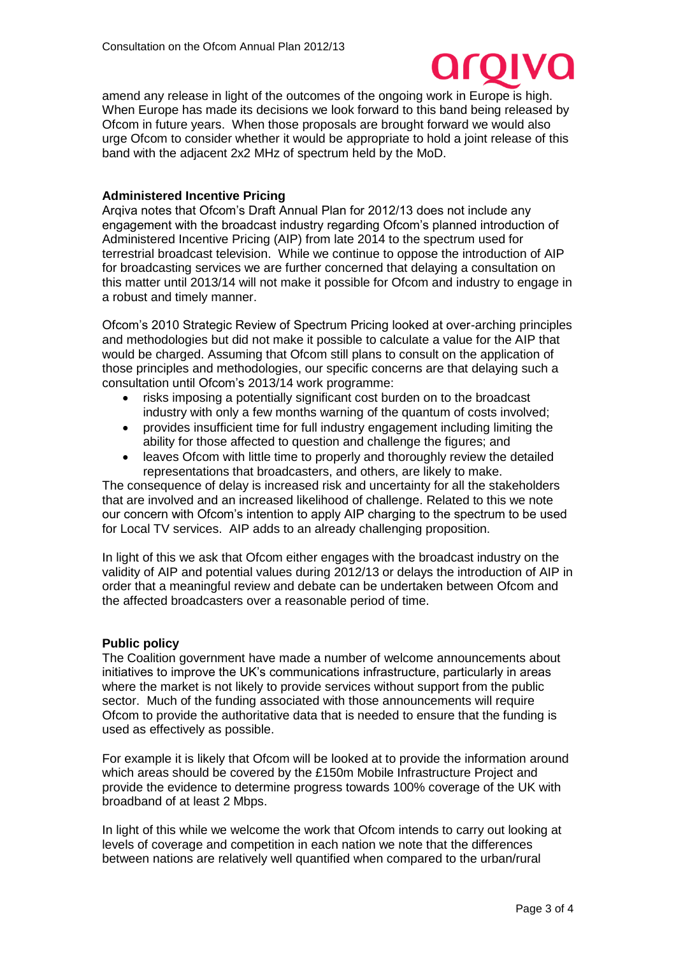

amend any release in light of the outcomes of the ongoing work in Europe is high. When Europe has made its decisions we look forward to this band being released by Ofcom in future years. When those proposals are brought forward we would also urge Ofcom to consider whether it would be appropriate to hold a joint release of this band with the adjacent 2x2 MHz of spectrum held by the MoD.

## **Administered Incentive Pricing**

Arqiva notes that Ofcom's Draft Annual Plan for 2012/13 does not include any engagement with the broadcast industry regarding Ofcom's planned introduction of Administered Incentive Pricing (AIP) from late 2014 to the spectrum used for terrestrial broadcast television. While we continue to oppose the introduction of AIP for broadcasting services we are further concerned that delaying a consultation on this matter until 2013/14 will not make it possible for Ofcom and industry to engage in a robust and timely manner.

Ofcom's 2010 Strategic Review of Spectrum Pricing looked at over-arching principles and methodologies but did not make it possible to calculate a value for the AIP that would be charged. Assuming that Ofcom still plans to consult on the application of those principles and methodologies, our specific concerns are that delaying such a consultation until Ofcom's 2013/14 work programme:

- risks imposing a potentially significant cost burden on to the broadcast industry with only a few months warning of the quantum of costs involved;
- provides insufficient time for full industry engagement including limiting the ability for those affected to question and challenge the figures; and
- leaves Ofcom with little time to properly and thoroughly review the detailed representations that broadcasters, and others, are likely to make.

The consequence of delay is increased risk and uncertainty for all the stakeholders that are involved and an increased likelihood of challenge. Related to this we note our concern with Ofcom's intention to apply AIP charging to the spectrum to be used for Local TV services. AIP adds to an already challenging proposition.

In light of this we ask that Ofcom either engages with the broadcast industry on the validity of AIP and potential values during 2012/13 or delays the introduction of AIP in order that a meaningful review and debate can be undertaken between Ofcom and the affected broadcasters over a reasonable period of time.

## **Public policy**

The Coalition government have made a number of welcome announcements about initiatives to improve the UK's communications infrastructure, particularly in areas where the market is not likely to provide services without support from the public sector. Much of the funding associated with those announcements will require Ofcom to provide the authoritative data that is needed to ensure that the funding is used as effectively as possible.

For example it is likely that Ofcom will be looked at to provide the information around which areas should be covered by the £150m Mobile Infrastructure Project and provide the evidence to determine progress towards 100% coverage of the UK with broadband of at least 2 Mbps.

In light of this while we welcome the work that Ofcom intends to carry out looking at levels of coverage and competition in each nation we note that the differences between nations are relatively well quantified when compared to the urban/rural